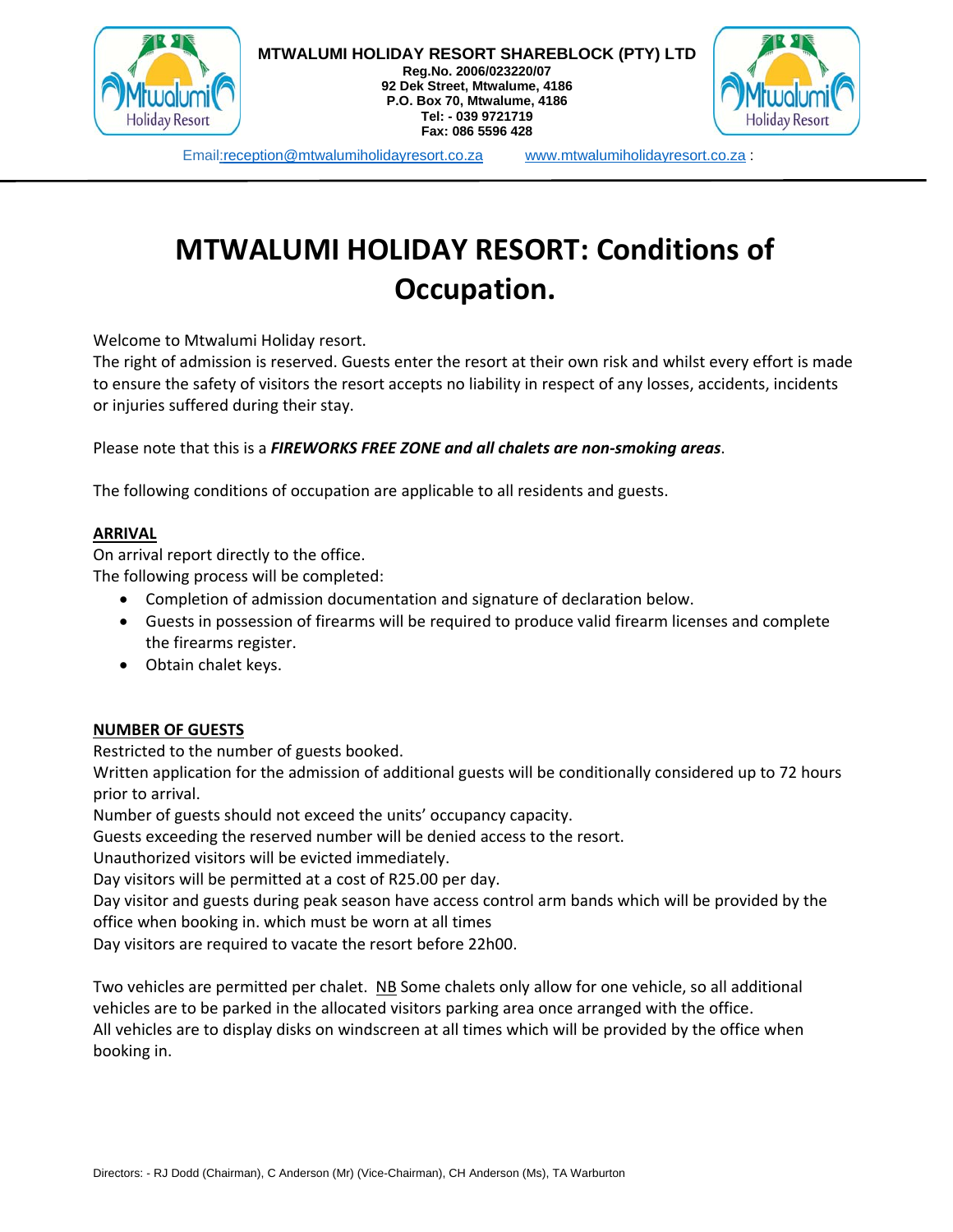

**Reg.No. 2006/023220/07 92 Dek Street, Mtwalume, 4186 P.O. Box 70, Mtwalume, 4186 Tel: - 039 9721719 Fax: 086 5596 428** 



Email:reception@mtwalumiholidayresort.co.za www.mtwalumiholidayresort.co.za :

# **MTWALUMI HOLIDAY RESORT: Conditions of Occupation.**

Welcome to Mtwalumi Holiday resort.

The right of admission is reserved. Guests enter the resort at their own risk and whilst every effort is made to ensure the safety of visitors the resort accepts no liability in respect of any losses, accidents, incidents or injuries suffered during their stay.

Please note that this is a *FIREWORKS FREE ZONE and all chalets are non‐smoking areas*.

The following conditions of occupation are applicable to all residents and guests.

#### **ARRIVAL**

On arrival report directly to the office.

The following process will be completed:

- Completion of admission documentation and signature of declaration below.
- Guests in possession of firearms will be required to produce valid firearm licenses and complete the firearms register.
- Obtain chalet keys.

#### **NUMBER OF GUESTS**

Restricted to the number of guests booked.

Written application for the admission of additional guests will be conditionally considered up to 72 hours prior to arrival.

Number of guests should not exceed the units' occupancy capacity.

Guests exceeding the reserved number will be denied access to the resort.

Unauthorized visitors will be evicted immediately.

Day visitors will be permitted at a cost of R25.00 per day.

Day visitor and guests during peak season have access control arm bands which will be provided by the office when booking in. which must be worn at all times

Day visitors are required to vacate the resort before 22h00.

Two vehicles are permitted per chalet. NB Some chalets only allow for one vehicle, so all additional vehicles are to be parked in the allocated visitors parking area once arranged with the office. All vehicles are to display disks on windscreen at all times which will be provided by the office when booking in.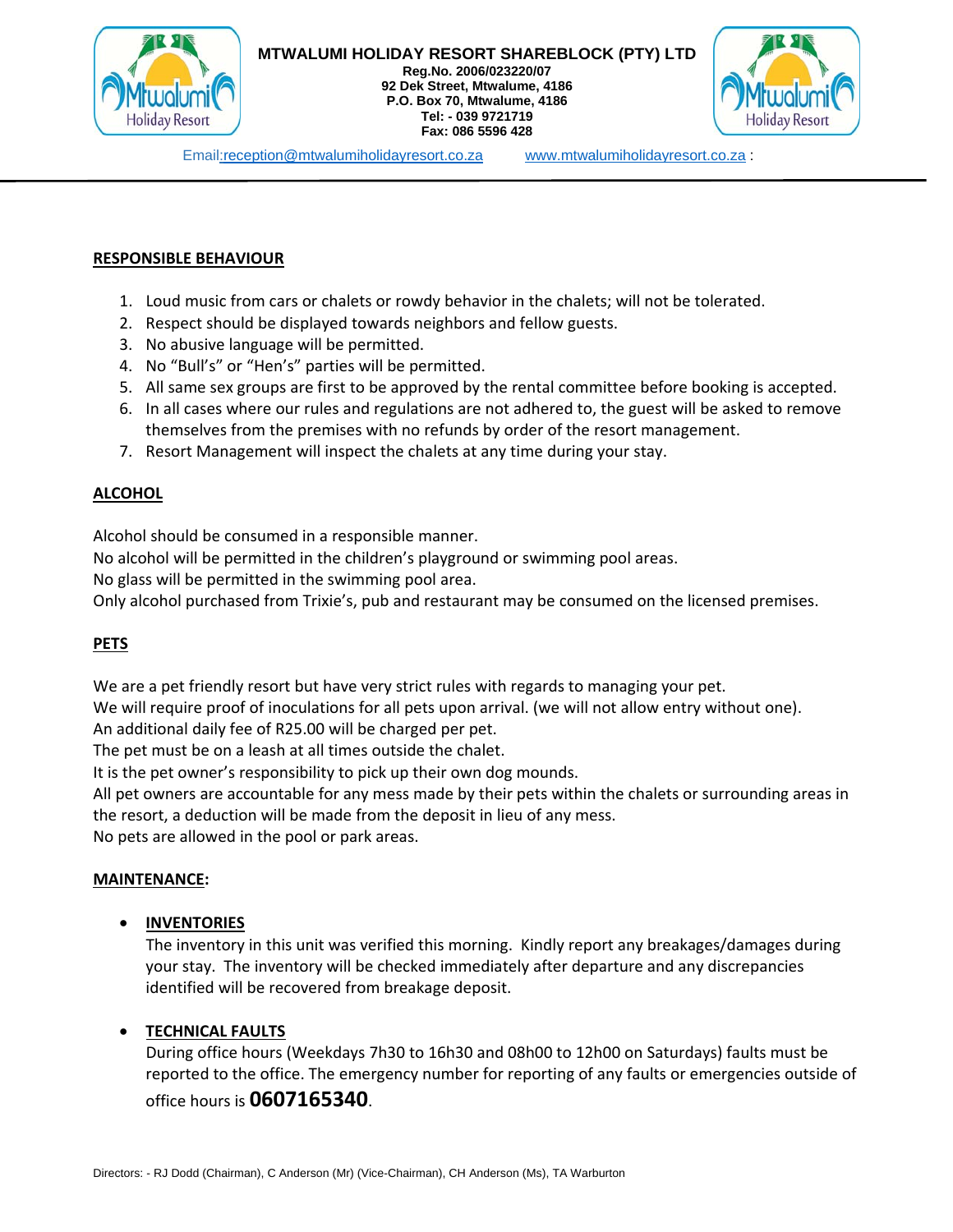

**Reg.No. 2006/023220/07 92 Dek Street, Mtwalume, 4186 P.O. Box 70, Mtwalume, 4186 Tel: - 039 9721719 Fax: 086 5596 428** 



Email:reception@mtwalumiholidayresort.co.za www.mtwalumiholidayresort.co.za :

#### **RESPONSIBLE BEHAVIOUR**

- 1. Loud music from cars or chalets or rowdy behavior in the chalets; will not be tolerated.
- 2. Respect should be displayed towards neighbors and fellow guests.
- 3. No abusive language will be permitted.
- 4. No "Bull's" or "Hen's" parties will be permitted.
- 5. All same sex groups are first to be approved by the rental committee before booking is accepted.
- 6. In all cases where our rules and regulations are not adhered to, the guest will be asked to remove themselves from the premises with no refunds by order of the resort management.
- 7. Resort Management will inspect the chalets at any time during your stay.

#### **ALCOHOL**

Alcohol should be consumed in a responsible manner.

No alcohol will be permitted in the children's playground or swimming pool areas.

No glass will be permitted in the swimming pool area.

Only alcohol purchased from Trixie's, pub and restaurant may be consumed on the licensed premises.

#### **PETS**

We are a pet friendly resort but have very strict rules with regards to managing your pet.

We will require proof of inoculations for all pets upon arrival. (we will not allow entry without one). An additional daily fee of R25.00 will be charged per pet.

The pet must be on a leash at all times outside the chalet.

It is the pet owner's responsibility to pick up their own dog mounds.

All pet owners are accountable for any mess made by their pets within the chalets or surrounding areas in the resort, a deduction will be made from the deposit in lieu of any mess.

No pets are allowed in the pool or park areas.

#### **MAINTENANCE:**

#### **INVENTORIES**

The inventory in this unit was verified this morning. Kindly report any breakages/damages during your stay. The inventory will be checked immediately after departure and any discrepancies identified will be recovered from breakage deposit.

#### **TECHNICAL FAULTS**

During office hours (Weekdays 7h30 to 16h30 and 08h00 to 12h00 on Saturdays) faults must be reported to the office. The emergency number for reporting of any faults or emergencies outside of office hours is **0607165340**.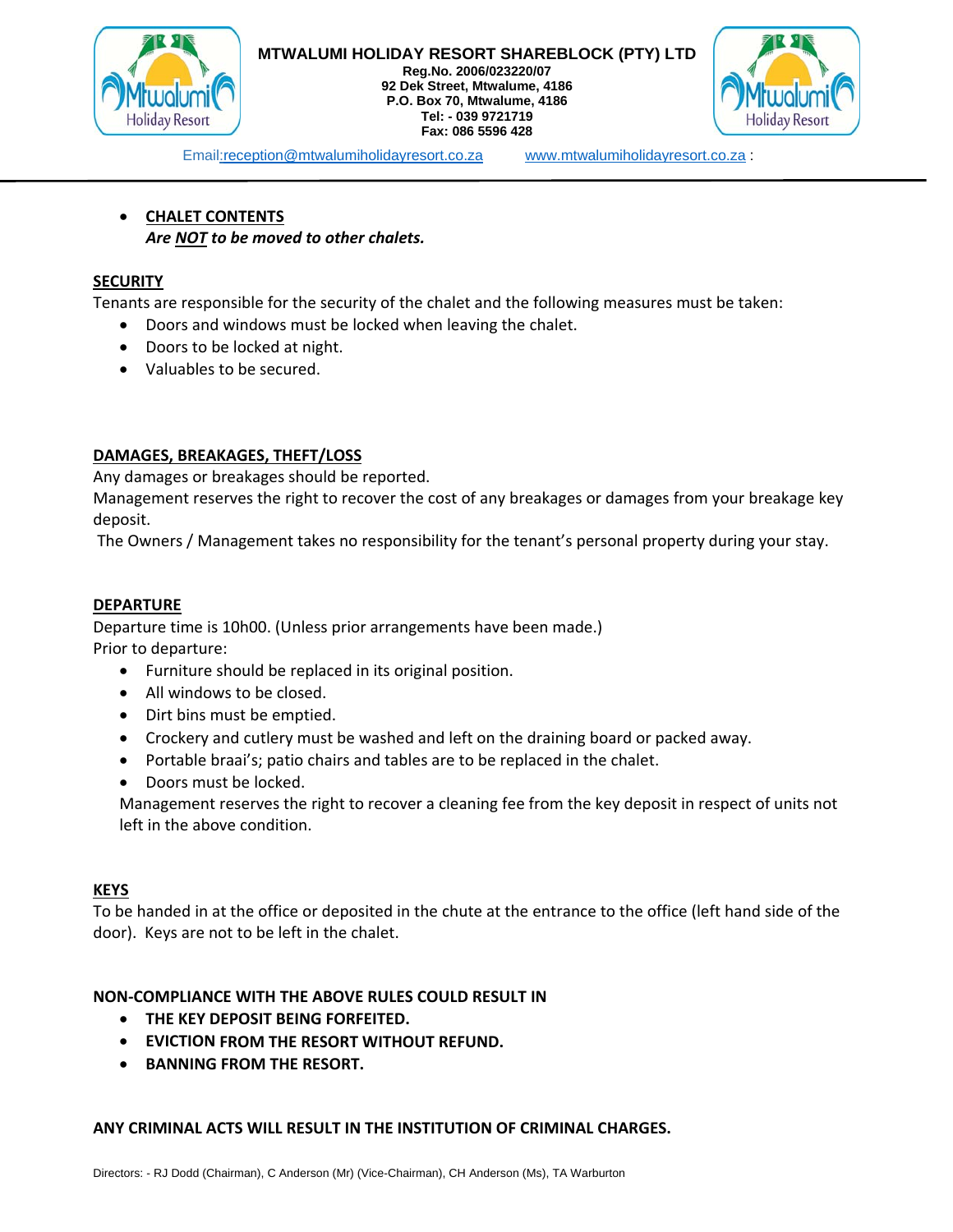

**Reg.No. 2006/023220/07 92 Dek Street, Mtwalume, 4186 P.O. Box 70, Mtwalume, 4186 Tel: - 039 9721719 Fax: 086 5596 428** 



Email:reception@mtwalumiholidayresort.co.za www.mtwalumiholidayresort.co.za :

## **CHALET CONTENTS** *Are NOT to be moved to other chalets.*

#### **SECURITY**

Tenants are responsible for the security of the chalet and the following measures must be taken:

- Doors and windows must be locked when leaving the chalet.
- Doors to be locked at night.
- Valuables to be secured.

#### **DAMAGES, BREAKAGES, THEFT/LOSS**

Any damages or breakages should be reported.

Management reserves the right to recover the cost of any breakages or damages from your breakage key deposit.

The Owners / Management takes no responsibility for the tenant's personal property during your stay.

#### **DEPARTURE**

Departure time is 10h00. (Unless prior arrangements have been made.) Prior to departure:

- Furniture should be replaced in its original position.
- All windows to be closed.
- Dirt bins must be emptied.
- Crockery and cutlery must be washed and left on the draining board or packed away.
- Portable braai's; patio chairs and tables are to be replaced in the chalet.
- Doors must be locked.

Management reserves the right to recover a cleaning fee from the key deposit in respect of units not left in the above condition.

#### **KEYS**

To be handed in at the office or deposited in the chute at the entrance to the office (left hand side of the door). Keys are not to be left in the chalet.

#### **NON‐COMPLIANCE WITH THE ABOVE RULES COULD RESULT IN**

- **THE KEY DEPOSIT BEING FORFEITED.**
- **EVICTION FROM THE RESORT WITHOUT REFUND.**
- **BANNING FROM THE RESORT.**

#### **ANY CRIMINAL ACTS WILL RESULT IN THE INSTITUTION OF CRIMINAL CHARGES.**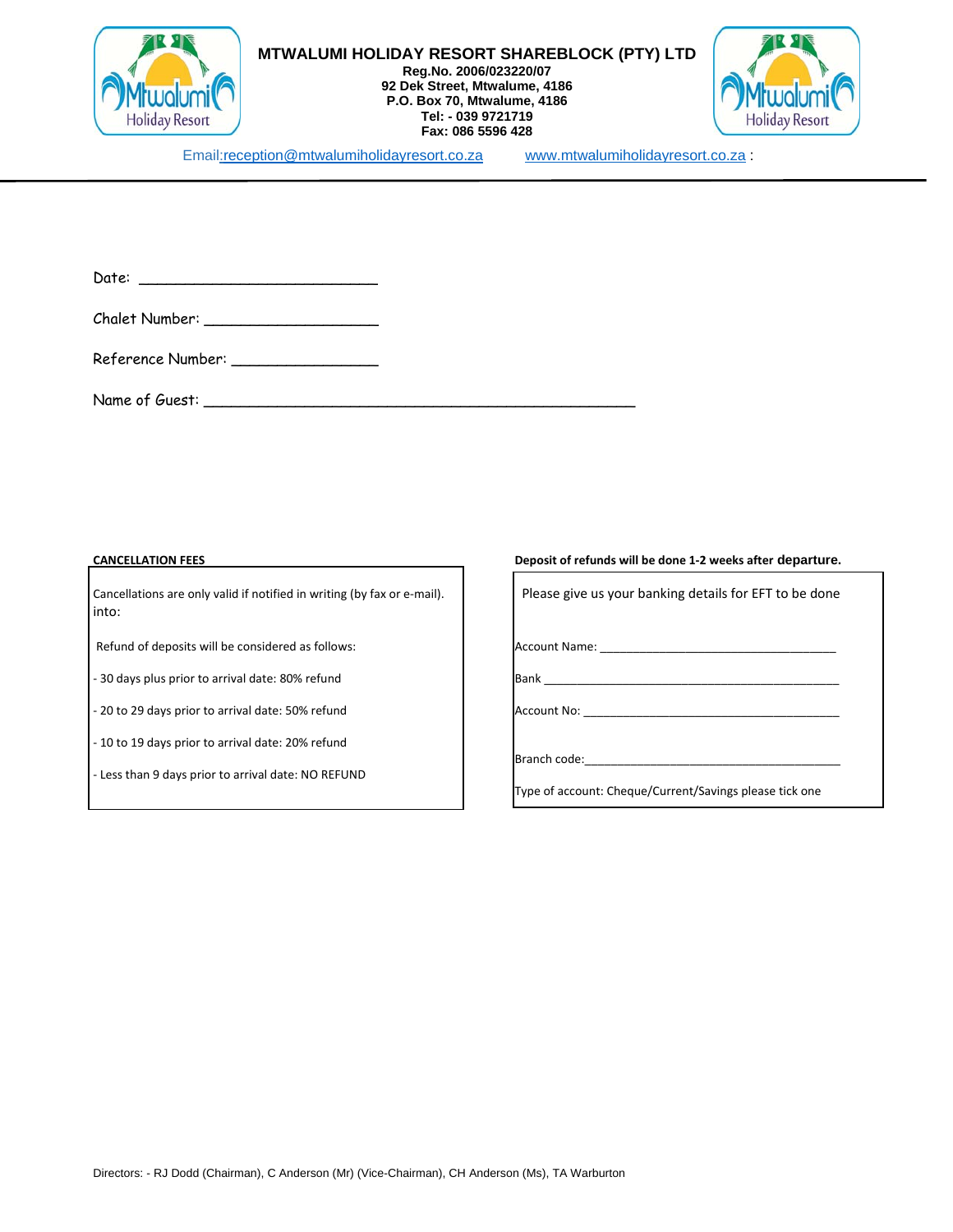

**Reg.No. 2006/023220/07 92 Dek Street, Mtwalume, 4186 P.O. Box 70, Mtwalume, 4186 Tel: - 039 9721719 Fax: 086 5596 428** 



Email:reception@mtwalumiholidayresort.co.za www.mtwalumiholidayresort.co.za :

| Date: |  |
|-------|--|
|       |  |

| Chalet Number: |  |
|----------------|--|
|----------------|--|

Reference Number: \_\_\_\_\_\_\_\_\_\_\_\_\_\_\_\_

Name of Guest: \_\_\_\_\_\_\_\_\_\_\_\_\_\_\_\_\_\_\_\_\_\_\_\_\_\_\_\_\_\_\_\_\_\_\_\_\_\_\_\_\_\_\_\_\_\_\_

Cancellations are only valid if notified in writing (by fax or e‐mail). Please give us your banking details for EFT to be done into:

Refund of deposits will be considered as follows: **Account Name:** Account Name: \_\_\_\_\_\_\_\_\_\_\_\_\_\_\_\_\_\_\_\_\_\_\_\_\_\_\_\_\_\_\_\_\_

‐ 30 days plus prior to arrival date: 80% refund Bank \_\_\_\_\_\_\_\_\_\_\_\_\_\_\_\_\_\_\_\_\_\_\_\_\_\_\_\_\_\_\_\_\_\_\_\_\_\_\_\_\_\_\_\_\_

‐ 20 to 29 days prior to arrival date: 50% refund Account No: \_\_\_\_\_\_\_\_\_\_\_\_\_\_\_\_\_\_\_\_\_\_\_\_\_\_\_\_\_\_\_\_\_\_\_\_\_\_\_

‐ 10 to 19 days prior to arrival date: 20% refund

‐ Less than 9 days prior to arrival date: NO REFUND

**CANCELLATION FEES Deposit of refunds will be done 1‐2 weeks after departure.** 

Branch code:

Type of account: Cheque/Current/Savings please tick one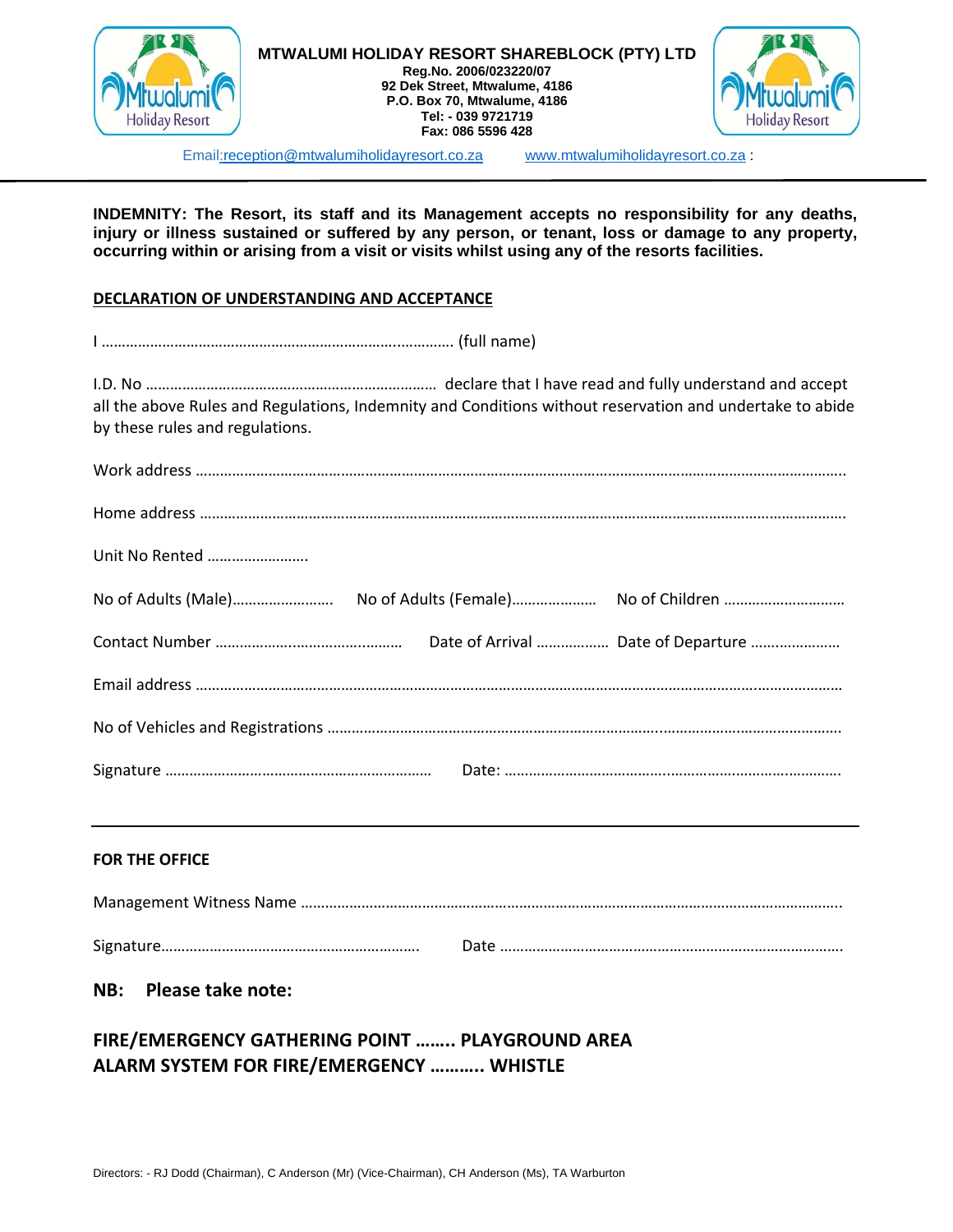

#### **MTWALUMI HOLIDAY RESORT SHAREBLOCK (PTY) LTD Reg.No. 2006/023220/07**

**92 Dek Street, Mtwalume, 4186 P.O. Box 70, Mtwalume, 4186 Tel: - 039 9721719 Fax: 086 5596 428** 



Email:reception@mtwalumiholidayresort.co.za www.mtwalumiholidayresort.co.za :

**INDEMNITY: The Resort, its staff and its Management accepts no responsibility for any deaths, injury or illness sustained or suffered by any person, or tenant, loss or damage to any property, occurring within or arising from a visit or visits whilst using any of the resorts facilities.** 

#### **DECLARATION OF UNDERSTANDING AND ACCEPTANCE**

I ………………………………………………………………..…………. (full name)

I.D. No ……………………………………………………………… declare that I have read and fully understand and accept all the above Rules and Regulations, Indemnity and Conditions without reservation and undertake to abide by these rules and regulations.

#### **FOR THE OFFICE**

#### **NB: Please take note:**

# **FIRE/EMERGENCY GATHERING POINT …….. PLAYGROUND AREA ALARM SYSTEM FOR FIRE/EMERGENCY ……….. WHISTLE**